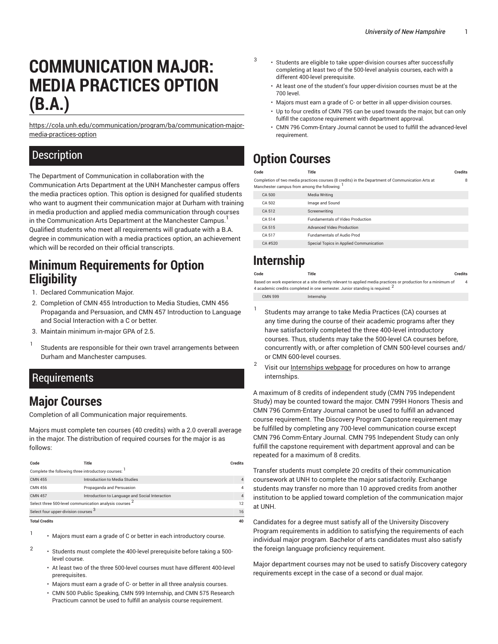# **COMMUNICATION MAJOR: MEDIA PRACTICES OPTION (B.A.)**

[https://cola.unh.edu/communication/program/ba/communication-major](https://cola.unh.edu/communication/program/ba/communication-major-media-practices-option/)[media-practices-option](https://cola.unh.edu/communication/program/ba/communication-major-media-practices-option/)

#### **Description**

The Department of Communication in collaboration with the Communication Arts Department at the UNH Manchester campus offers the media practices option. This option is designed for qualified students who want to augment their communication major at Durham with training in media production and applied media communication through courses in the Communication Arts Department at the Manchester Campus. <sup>1</sup> Qualified students who meet all requirements will graduate with a B.A. degree in communication with a media practices option, an achievement which will be recorded on their official transcripts.

## **Minimum Requirements for Option Eligibility**

- 1. Declared Communication Major.
- 2. Completion of CMN 455 Introduction to Media Studies, CMN 456 Propaganda and Persuasion, and CMN 457 Introduction to Language and Social Interaction with a C or better.
- 3. Maintain minimum in-major GPA of 2.5.
- 1 Students are responsible for their own travel arrangements between Durham and Manchester campuses.

#### Requirements

## **Major Courses**

Completion of all Communication major requirements.

Majors must complete ten courses (40 credits) with a 2.0 overall average in the major. The distribution of required courses for the major is as follows:

| Code                                                               | Title                                           | <b>Credits</b> |  |  |  |
|--------------------------------------------------------------------|-------------------------------------------------|----------------|--|--|--|
| Complete the following three introductory courses:                 |                                                 |                |  |  |  |
| <b>CMN 455</b>                                                     | Introduction to Media Studies                   |                |  |  |  |
| <b>CMN 456</b>                                                     | Propaganda and Persuasion                       |                |  |  |  |
| <b>CMN 457</b>                                                     | Introduction to Language and Social Interaction |                |  |  |  |
| Select three 500-level communication analysis courses <sup>2</sup> |                                                 |                |  |  |  |
| Select four upper-division courses 3                               |                                                 | 16             |  |  |  |
| <b>Total Credits</b>                                               |                                                 |                |  |  |  |

1

2

- Majors must earn a grade of C or better in each introductory course.
- Students must complete the 400-level prerequisite before taking a 500 level course.
	- At least two of the three 500-level courses must have different 400-level prerequisites.
	- Majors must earn a grade of C- or better in all three analysis courses.
	- CMN 500 Public Speaking, CMN 599 Internship, and CMN 575 Research Practicum cannot be used to fulfill an analysis course requirement.
- Students are eligible to take upper-division courses after successfully completing at least two of the 500-level analysis courses, each with a different 400-level prerequisite.
	- At least one of the student's four upper-division courses must be at the 700 level.
	- Majors must earn a grade of C- or better in all upper-division courses.
	- Up to four credits of CMN 795 can be used towards the major, but can only fulfill the capstone requirement with department approval.
- CMN 796 Comm-Entary Journal cannot be used to fulfill the advanced-level requirement.

# **Option Courses**

3

| Code                                                                                                                                            | Title                                   | <b>Credits</b> |  |  |
|-------------------------------------------------------------------------------------------------------------------------------------------------|-----------------------------------------|----------------|--|--|
| Completion of two media practices courses (8 credits) in the Department of Communication Arts at<br>Manchester campus from among the following: |                                         |                |  |  |
| CA 500                                                                                                                                          | Media Writing                           |                |  |  |
| CA 502                                                                                                                                          | Image and Sound                         |                |  |  |
| CA 512                                                                                                                                          | Screenwriting                           |                |  |  |
| CA 514                                                                                                                                          | <b>Fundamentals of Video Production</b> |                |  |  |
| CA 515                                                                                                                                          | Advanced Video Production               |                |  |  |
| CA 517                                                                                                                                          | <b>Fundamentals of Audio Prod</b>       |                |  |  |
| $CA$ #520                                                                                                                                       | Special Topics in Applied Communication |                |  |  |

# **Internship**

| Code | <b>Title</b> | <b>Credits</b> |
|------|--------------|----------------|
|      |              | .              |
|      |              |                |

Based on work experience at a site directly relevant to applied media practices or production for a minimum of 4 academic credits completed in one semester. Junior standing is required.  $^{\mathsf{2}}$ 4

- CMN 599 Internship
- 1 Students may arrange to take Media Practices (CA) courses at any time during the course of their academic programs after they have satisfactorily completed the three 400-level introductory courses. Thus, students may take the 500-level CA courses before, concurrently with, or after completion of CMN 500-level courses and/ or CMN 600-level courses.
- 2 Visit our [Internships webpage](https://cola.unh.edu/communication/internships/) for procedures on how to arrange internships.

A maximum of 8 credits of independent study (CMN 795 Independent Study) may be counted toward the major. CMN 799H Honors Thesis and CMN 796 Comm-Entary Journal cannot be used to fulfill an advanced course requirement. The Discovery Program Capstone requirement may be fulfilled by completing any 700-level communication course except CMN 796 Comm-Entary Journal. CMN 795 Independent Study can only fulfill the capstone requirement with department approval and can be repeated for a maximum of 8 credits.

Transfer students must complete 20 credits of their communication coursework at UNH to complete the major satisfactorily. Exchange students may transfer no more than 10 approved credits from another institution to be applied toward completion of the communication major at UNH.

Candidates for a degree must satisfy all of the University Discovery Program requirements in addition to satisfying the requirements of each individual major program. Bachelor of arts candidates must also satisfy the foreign language proficiency requirement.

Major department courses may not be used to satisfy Discovery category requirements except in the case of a second or dual major.